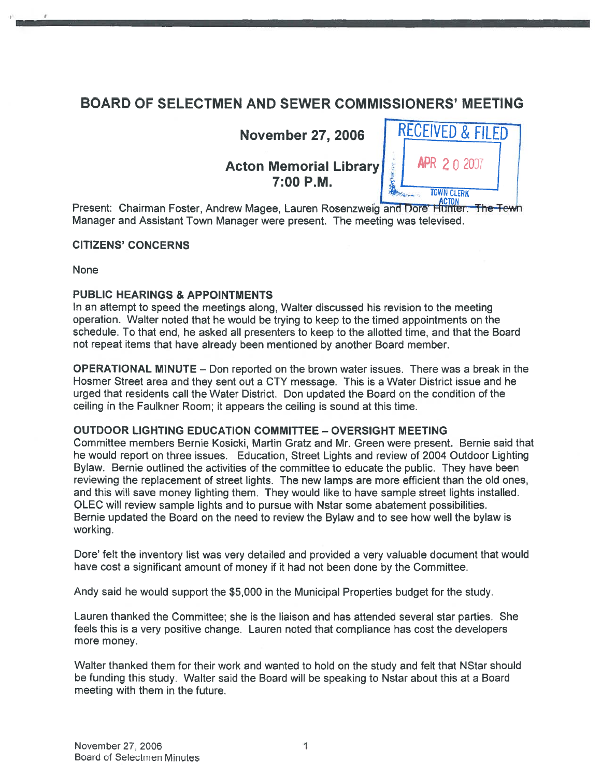# BOARD OF SELECTMEN AND SEWER COMMISSIONERS' MEETING

**November 27, 2006** 

**Acton Memorial Library** 



Present: Chairman Foster, Andrew Magee, Lauren Rosenzweig and Dore Hunter. The Tewn Manager and Assistant Town Manager were present. The meeting was televised.

#### CITIZENS' CONCERNS

**None** 

#### PUBLIC HEARINGS & APPOINTMENTS

In an attempt to speed the meetings along, Walter discussed his revision to the meeting operation. Walter noted that he would be trying to keep to the timed appointments on the schedule. To that end, he asked all presenters to keep to the allotted time, and that the Board not repea<sup>t</sup> items that have already been mentioned by another Board member.

OPERATIONAL MINUTE — Don reported on the brown water issues. There was <sup>a</sup> break in the Hosmer Street area and they sent out <sup>a</sup> CTY message. This is <sup>a</sup> Water District issue and he urged that residents call the Water District. Don updated the Board on the condition of the ceiling in the Faulkner Room; it appears the ceiling is sound at this time.

#### OUTDOOR LIGHTING EDUCATION COMMITTEE — OVERSIGHT MEETING

Committee members Bernie Kosicki, Martin Gratz and Mr. Green were present. Bernie said that he would repor<sup>t</sup> on three issues. Education, Street Lights and review of 2004 Outdoor Lighting Bylaw. Bernie outlined the activities of the committee to educate the public. They have been reviewing the replacement of street lights. The new lamps are more efficient than the old ones, and this will save money lighting them. They would like to have sample streetlights installed. OLEC will review sample lights and to pursue with Nstar some abatement possibilities. Bernie updated the Board on the need to review the Bylaw and to see how well the bylaw is working.

Dote' felt the inventory list was very detailed and provided <sup>a</sup> very valuable document that would have cost <sup>a</sup> significant amount of money if it had not been done by the Committee.

Andy said he would suppor<sup>t</sup> the \$5,000 in the Municipal Properties budget for the study.

Lauren thanked the Committee; she is the liaison and has attended several star parties. She feels this is <sup>a</sup> very positive change. Lauren noted that compliance has cost the developers more money.

Walter thanked them for their work and wanted to hold on the study and felt that NStar should be funding this study. Walter said the Board will be speaking to Nstar about this at <sup>a</sup> Board meeting with them in the future.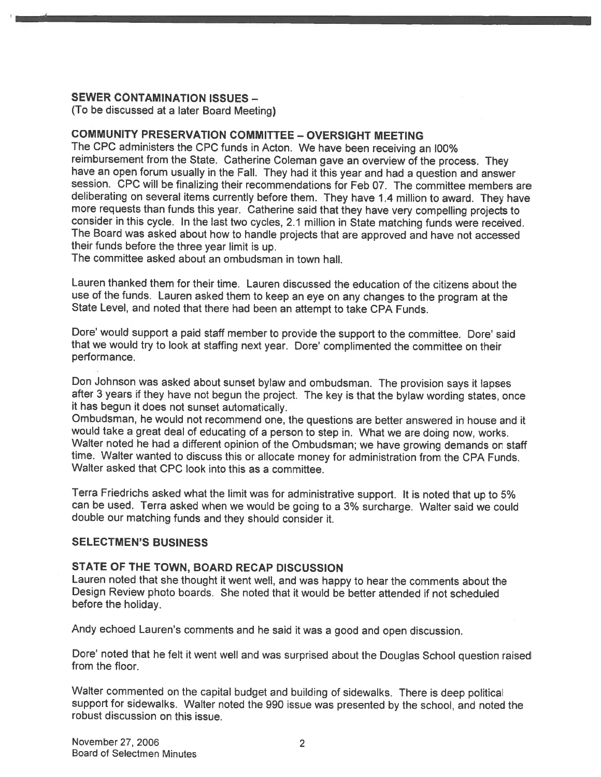#### SEWER CONTAMINATION ISSUES —

(To be discussed at <sup>a</sup> later Board Meeting)

#### COMMUNITY PRESERVATION COMMITTEE - OVERSIGHT MEETING

The CPC administers the CPC funds in Acton. We have been receiving an l00% reimbursement from the State. Catherine Coleman gave an overview of the process. They have an open forum usually in the Fall. They had it this year and had a question and answer session. CPC will be finalizing their recommendations for Feb 07. The committee members are deliberating on several items currently before them. They have 1.4 million to award. They have<br>more requests than funds this year. Catherine said that they have very compelling projects to consider in this cycle. In the last two cycles, 2.1 million in State matching funds were received.<br>The Board was asked about how to handle projects that are approved and have not accessed their funds before the three year limit is up.

The committee asked about an ombudsman in town hall.

Lauren thanked them for their time. Lauren discussed the education of the citizens about the use of the funds. Lauren asked them to keep an eye on any changes to the program at the State Level, and noted that there had been an attempt to take CPA Funds.

Dore' would support <sup>a</sup> paid staff member to provide the support to the committee. Dore' said that we would try to look at staffing next year. Dore' complimented the committee on their performance.

Don Johnson was asked about sunset bylaw and ombudsman. The provision says it lapses after <sup>3</sup> years if they have not begun the project. The key is that the bylaw wording states, once it has begun it does not sunset automatically.

Ombudsman, he would not recommend one, the questions are better answered in house and it would take a great deal of educating of a person to step in. What we are doing now, works. Walter noted he had a different opinion of the Ombudsman; we have growing demands on staff time. Walter wanted to discuss this or allocate money for administration from the CPA Funds. Walter asked that CPC look into this as <sup>a</sup> committee.

Terra Friedrichs asked what the limit was for administrative support. It is noted that up to 5% can be used. Terra asked when we would be going to <sup>a</sup> 3% surcharge. Walter said we could double our matching funds and they should consider it.

#### SELECTMEN'S BUSINESS

#### STATE OF THE TOWN, BOARD RECAP DISCUSSION

Lauren noted that she thought it went well, and was happy to hear the comments about the Design Review <sup>p</sup>hoto boards. She noted that it would be better attended if not scheduled before the holiday.

Andy echoed Lauren's comments and he said it was <sup>a</sup> good and open discussion.

Dote' noted that he felt it went well and was surprised about the Douglas School question raised from the floor.

Walter commented on the capital budget and building of sidewalks. There is deep political support for sidewalks. Walter noted the 990 issue was presented by the school, and noted the robust discussion on this issue.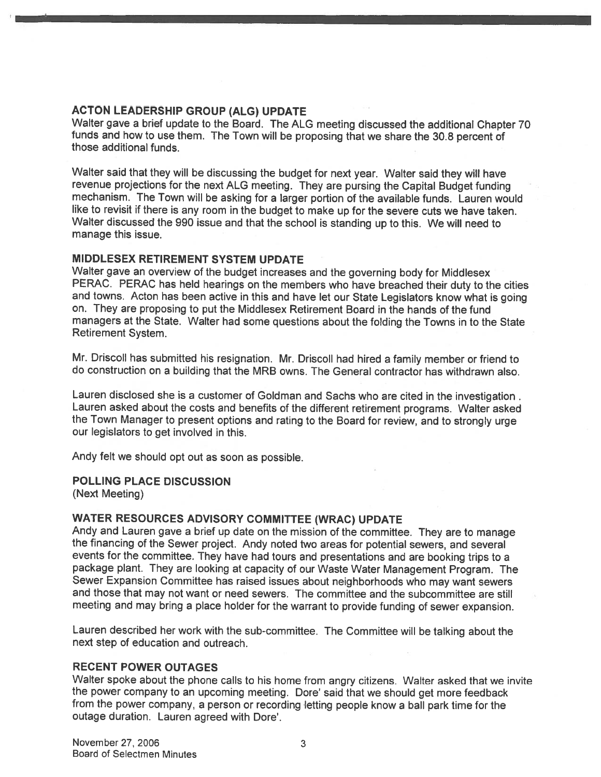#### ACTON LEADERSHIP GROUP (ALG) UPDATE

Walter gave <sup>a</sup> brief update to the Board. The ALG meeting discussed the additional Chapter <sup>70</sup> funds and how to use them. The Town will be proposing that we share the 30.8 percen<sup>t</sup> of those additional funds.

Walter said that they will be discussing the budget for next year. Walter said they will have revenue projections for the next ALG meeting. They are pursing the Capital Budget funding mechanism. The Town will be asking for <sup>a</sup> larger portion of the available funds. Lauren would like to revisit if there is any room in the budget to make up for the severe cuts we have taken. Walter discussed the <sup>990</sup> issue and that the school is standing up to this. We will need to manage this issue.

#### MIDDLESEX RETIREMENT SYSTEM UPDATE

Walter gave an overview of the budget increases and the governing body for Middlesex PERAC. PERAC has held hearings on the members who have breached their duty to the cities and towns. Acton has been active in this and have let our State Legislators know what is going on. They are proposing to pu<sup>t</sup> the Middlesex Retirement Board in the hands of the fund managers at the State. Walter had some questions about the folding the Towns in to the State Retirement System.

Mr. Driscoll has submitted his resignation. Mr. Driscoll had hired <sup>a</sup> family member or friend to do construction on <sup>a</sup> building that the MRB owns. The General contractor has withdrawn also.

Lauren disclosed she is <sup>a</sup> customer of Goldman and Sachs who are cited in the investigation Lauren asked about the costs and benefits of the different retirement programs. Walter asked the Town Manager to presen<sup>t</sup> options and rating to the Board for review, and to strongly urge our legislators to ge<sup>t</sup> involved in this.

Andy felt we should op<sup>t</sup> out as soon as possible.

### POLLING PLACE DISCUSSION

(Next Meeting)

#### WATER RESOURCES ADVISORY COMMITTEE (WRAC) UPDATE

Andy and Lauren gave <sup>a</sup> brief up date on the mission of the committee. They are to manage the financing of the Sewer project. Andy noted two areas for potential sewers, and several events for the committee. They have had tours and presentations and are booking trips to <sup>a</sup> package <sup>p</sup>lant. They are looking at capacity of our Waste Water Management Program. The Sewer Expansion Committee has raised issues about neighborhoods who may want sewers and those that may not want or need sewers. The committee and the subcommittee are still meeting and may bring <sup>a</sup> <sup>p</sup>lace holder for the warrant to provide funding of sewer expansion.

Lauren described her work with the sub-committee. The Committee will be talking about the next step of education and outreach.

#### RECENT POWER OUTAGES

Walter spoke about the <sup>p</sup>hone calls to his home from angry citizens. Walter asked that we invite the power company to an upcoming meeting. Dore' said that we should ge<sup>t</sup> more feedback from the power company, <sup>a</sup> person or recording letting people know <sup>a</sup> ball par<sup>k</sup> time for the outage duration. Lauren agreed with Dore'.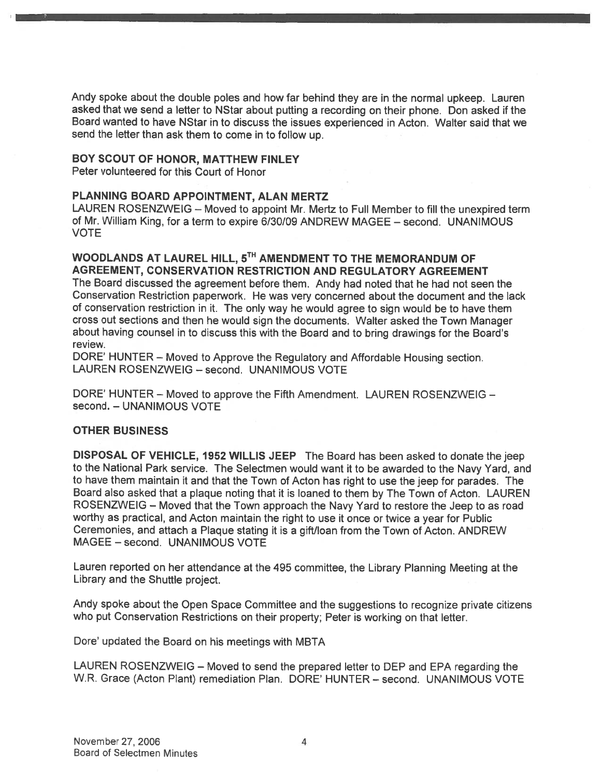Andy spoke about the double poles and how far behind they are in the normal upkeep. Lauren asked that we send <sup>a</sup> letter to NStar about putting <sup>a</sup> recording on their <sup>p</sup>hone. Don asked if the Board wanted to have NStar in to discuss the issues experienced in Acton. Walter said that we send the letter than ask them to come in to follow up.

#### BOY SCOUT OF HONOR, MATTHEW FINLEY

Peter volunteered for this Court of Honor

#### PLANNING BOARD APPOINTMENT, ALAN MERTZ

LAUREN ROSENZWEIG — Moved to appoint Mr. Mertz to Full Member to fill the unexpired term of Mr. William King, for <sup>a</sup> term to expire 6/30/09 ANDREW MAGEE — second. UNANIMOUS VOTE

#### WOODLANDS AT LAUREL HILL, 5TH AMENDMENT TO THE MEMORANDUM OF AGREEMENT, CONSERVATION RESTRICTION AND REGULATORY AGREEMENT

The Board discussed the agreemen<sup>t</sup> before them. Andy had noted that he had not seen the Conservation Restriction paperwork. He was very concerned about the document and the lack of conservation restriction in it. The only way he would agree to sign would be to have them cross out sections and then he would sign the documents. Walter asked the Town Manager about having counsel in to discuss this with the Board and to bring drawings for the Board's review.

DORE' HUNTER — Moved to Approve the Regulatory and Affordable Housing section. LAUREN ROSENZWEIG — second. UNANIMOUS VOTE

DORE' HUNTER — Moved to approve the Fifth Amendment. LAUREN ROSENZWEIG second. — UNANIMOUS VOTE

#### OTHER BUSINESS

DISPOSAL OF VEHICLE, 1952 WILLIS JEEP The Board has been asked to donate the jeep to the National Park service. The Selectmen would want it to be awarded to the Navy Yard, and to have them maintain it and that the Town of Acton has right to use the jeep for parades. The Board also asked that <sup>a</sup> <sup>p</sup>laque noting that it is loaned to them by The Town of Acton. LAUREN ROSENZWEIG — Moved that the Town approac<sup>h</sup> the Navy Yard to restore the Jeep to as road worthy as practical, and Acton maintain the right to use it once or twice <sup>a</sup> year for Public Ceremonies, and attach <sup>a</sup> Plaque stating it is <sup>a</sup> <sup>g</sup>ift/loan from the Town of Acton. ANDREW MAGEE — second. UNANIMOUS VOTE

Lauren reported on her attendance at the 495 committee, the Library Planning Meeting at the Library and the Shuttle project.

Andy spoke about the Open Space Committee and the suggestions to recognize private citizens who pu<sup>t</sup> Conservation Restrictions on their property; Peter is working on that letter.

Dore' updated the Board on his meetings with MBTA

LAUREN ROSENZWEIG — Moved to send the prepare<sup>d</sup> letter to DEP and EPA regarding the W.R. Grace (Acton Plant) remediation Plan. DORE' HUNTER — second. UNANIMOUS VOTE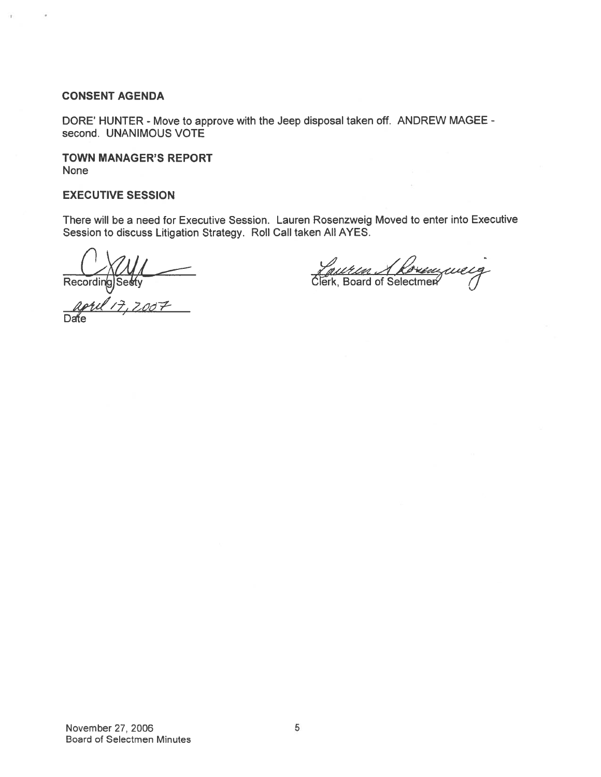#### CONSENT AGENDA

DORE' HUNTER - Move to approve with the Jeep disposal taken off. ANDREW MAGEE second. UNANIMOUS VOTE

TOWN MANAGER'S REPORT None

#### EXECUTIVE SESSION

There will be <sup>a</sup> need for Executive Session. Lauren Rosenzweig Moved to enter into Executive Session to discuss Litigation Strategy. Roll Call taken All AYES.

Recording Seekly<br>  $\frac{Q}{d\theta}$ 

<u>Reuten Akorenzuelg</u>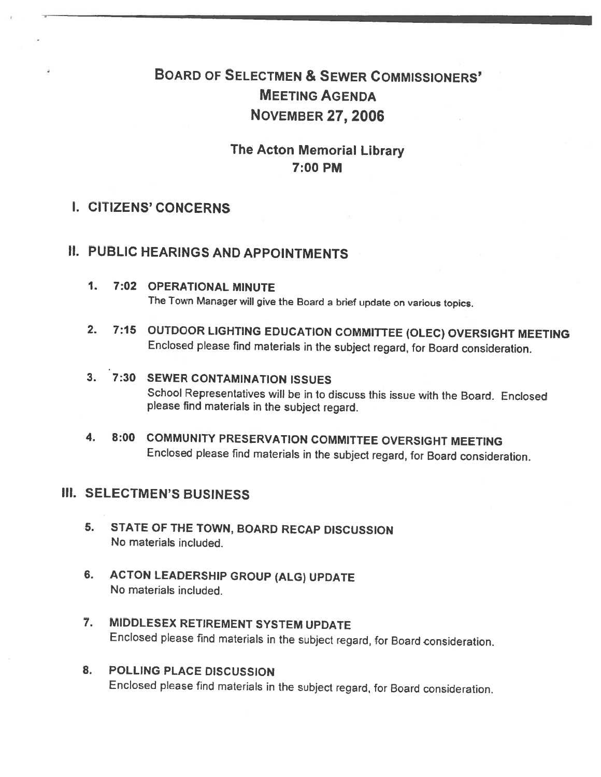# BOARD OF SELECTMEN & SEWER COMMISSIONERS' MEETING AGENDA N0vEMBER2Z,2006

# The Acton Memorial Library 7:00 PM

# I. CITIZENS' CONCERNS

# II. PUBLIC HEARINGS AND APPOINTMENTS

- 1. 7:02 OPERATIONAL MINUTE The Town Manager will <sup>g</sup>ive the Board <sup>a</sup> brief update on various topics.
- 2. 7:15 OUTDOOR LIGHTING EDUCATION COMMITTEE (OLEC) OVERSIGHT MEETING Enclosed <sup>p</sup>lease find materials in the subject regard, for Board consideration.

# 3. 7:30 SEWER CONTAMINATION ISSUES School Representatives will be in to discuss this issue with the Board. Enclosed <sup>p</sup>lease find materials in the subject regard.

4. 8:00 COMMUNITY PRESERVATION COMMITTEE OVERSIGHT MEETING Enclosed <sup>p</sup>lease find materials in the subject regard, for Board consideration.

# Ill. SELECTMEN'S BUSINESS

- 5. STATE OF THE TOWN, BOARD RECAP DISCUSSION No materials included.
- 6. ACTON LEADERSHIP GROUP (ALG) UPDATE No materials included.
- 7. MIDDLESEX RETIREMENT SYSTEM UPDATE Enclosed <sup>p</sup>lease find materials in the subject regard, for Board consideration.
- 8. POLLING PLACE DISCUSSION Enclosed <sup>p</sup>lease find materials in the subject regard, for Board consideration.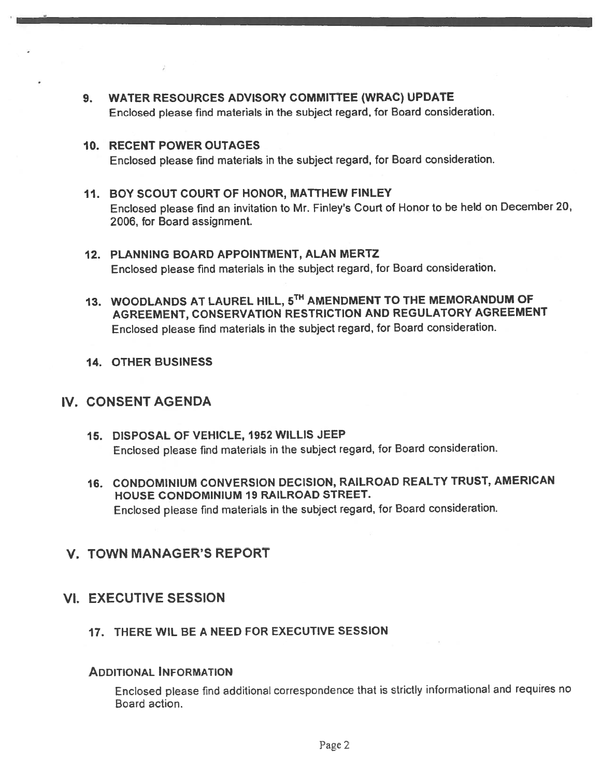- 9. WATER RESOURCES ADVISORY COMMITTEE (WRAC) UPDATE Enclosed <sup>p</sup>lease find materials in the subject regard, for Board consideration.
- 10. RECENT POWER OUTAGES Enclosed <sup>p</sup>lease find materials in the subject regard, for Board consideration.
- 11. BOY SCOUT COURT OF HONOR, MATTHEW FINLEY Enclosed <sup>p</sup>lease find an invitation to Mr. Finley's Court of Honor to be held on December 20, 2006, for Board assignment.
- 12. PLANNING BOARD APPOINTMENT, ALAN MERTZ Enclosed <sup>p</sup>lease find materials in the subject regard, for Board consideration.
- 13. WOODLANDS AT LAUREL HILL, 5TH AMENDMENT TO THE MEMORANDUM OF AGREEMENT, CONSERVATION RESTRICTION AND REGULATORY AGREEMENT Enclosed <sup>p</sup>lease find materials in the subject regard, for Board consideration.
- 14. OTHER BUSINESS

# IV. CONSENT AGENDA

- 15. DISPOSAL OF VEHICLE, 1952 WILLIS JEEP Enclosed <sup>p</sup>lease find materials in the subject regard, for Board consideration.
- 16. CONDOMINIUM CONVERSION DECISION, RAILROAD REALTY TRUST, AMERICAN HOUSE CONDOMINIUM 19 RAILROAD STREET. Enclosed <sup>p</sup>lease find materials in the subject regard, for Board consideration.

# V. TOWN MANAGER'S REPORT

### VI. EXECUTIVE SESSION

#### 17. THERE W1L BE A NEED FOR EXECUTIVE SESSION

#### ADDITIONAL INFORMATION

Enclosed <sup>p</sup>lease find additional correspondence that is strictly informational and requires no Board action.